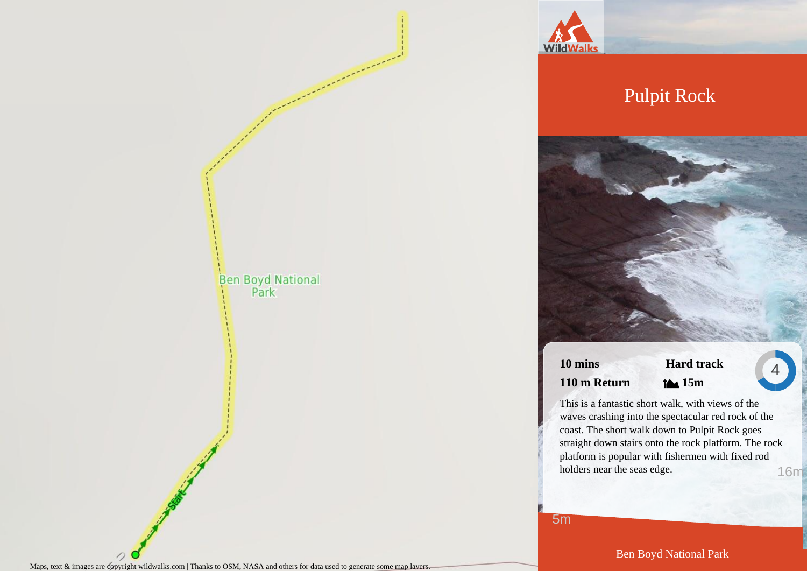

## Pulpit Rock

**10 mins 110 m Return**

**Hard track 15m**

4

This is a fantastic short walk, with views of the waves crashing into the spectacular red rock of the coast. The short walk down to Pulpit Rock goes straight down stairs onto the rock platform. The rock platform is popular with fishermen with fixed rod holders near the seas edge. 16m

5m

Maps, text & images are copyright wildwalks.com | Thanks to OSM, NASA and others for data used to generate some map layers.

Ben Boyd National Park